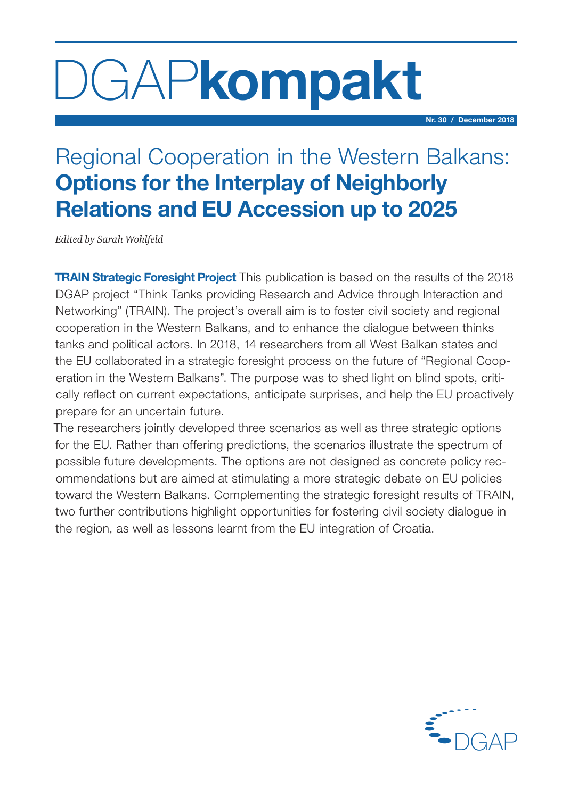# DGAPkompakt

Nr. 30 / December 2018

# Regional Cooperation in the Western Balkans: Options for the Interplay of Neighborly Relations and EU Accession up to 2025

*Edited by Sarah Wohlfeld*

**TRAIN Strategic Foresight Project** This publication is based on the results of the 2018 DGAP project "Think Tanks providing Research and Advice through Interaction and Networking" (TRAIN). The project's overall aim is to foster civil society and regional cooperation in the Western Balkans, and to enhance the dialogue between thinks tanks and political actors. In 2018, 14 researchers from all West Balkan states and the EU collaborated in a strategic foresight process on the future of "Regional Cooperation in the Western Balkans". The purpose was to shed light on blind spots, critically reflect on current expectations, anticipate surprises, and help the EU proactively prepare for an uncertain future.

The researchers jointly developed three scenarios as well as three strategic options for the EU. Rather than offering predictions, the scenarios illustrate the spectrum of possible future developments. The options are not designed as concrete policy recommendations but are aimed at stimulating a more strategic debate on EU policies toward the Western Balkans. Complementing the strategic foresight results of TRAIN, two further contributions highlight opportunities for fostering civil society dialogue in the region, as well as lessons learnt from the EU integration of Croatia.

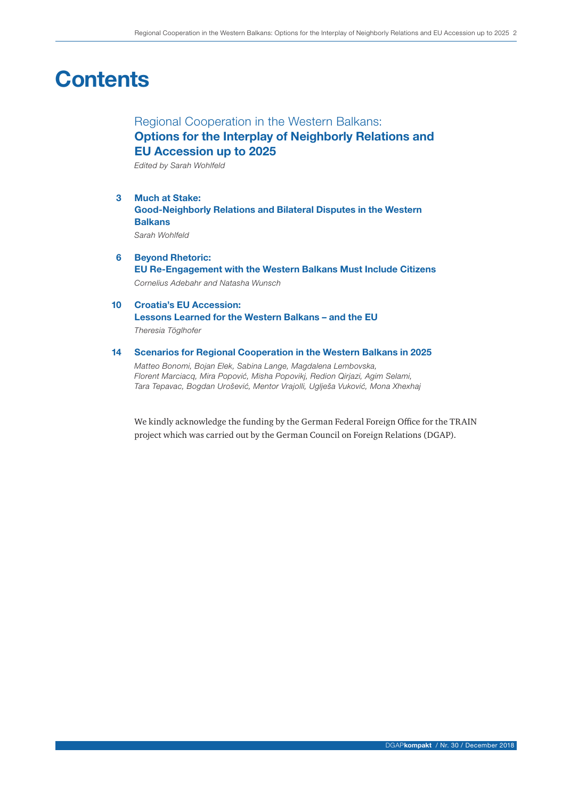# **Contents**

# Regional Cooperation in the Western Balkans: Options for the Interplay of Neighborly Relations and EU Accession up to 2025

*Edited by Sarah Wohlfeld*

- 3 Much at Stake: Good-Neighborly Relations and Bilateral Disputes in the Western **Balkans** *Sarah Wohlfeld*
- 6 Beyond Rhetoric: EU Re-Engagement with the Western Balkans Must Include Citizens *Cornelius Adebahr and Natasha Wunsch*
- 10 Croatia's EU Accession: Lessons Learned for the Western Balkans – and the EU *Theresia Töglhofer*

#### 14 Scenarios for Regional Cooperation in the Western Balkans in 2025

*Matteo Bonomi, Bojan Elek, Sabina Lange, Magdalena Lembovska, Florent Marciacq, Mira Popović, Misha Popovikj, Redion Qirjazi, Agim Selami, Tara Tepavac, Bogdan Urošević, Mentor Vrajolli, Uglješa Vuković, Mona Xhexhaj*

We kindly acknowledge the funding by the German Federal Foreign Office for the TRAIN project which was carried out by the German Council on Foreign Relations (DGAP).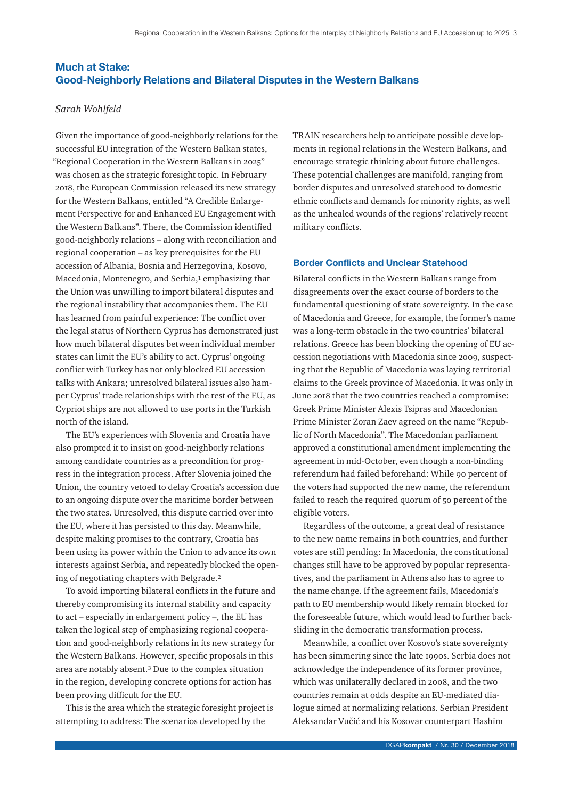# Much at Stake: Good-Neighborly Relations and Bilateral Disputes in the Western Balkans

# *Sarah Wohlfeld*

Given the importance of good-neighborly relations for the successful EU integration of the Western Balkan states, "Regional Cooperation in the Western Balkans in 2025" was chosen as the strategic foresight topic. In February 2018, the European Commission released its new strategy for the Western Balkans, entitled "A Credible Enlargement Perspective for and Enhanced EU Engagement with the Western Balkans". There, the Commission identified good-neighborly relations – along with reconciliation and regional cooperation – as key prerequisites for the EU accession of Albania, Bosnia and Herzegovina, Kosovo, Macedonia, Montenegro, and Serbia,<sup>1</sup> emphasizing that the Union was unwilling to import bilateral disputes and the regional instability that accompanies them. The EU has learned from painful experience: The conflict over the legal status of Northern Cyprus has demonstrated just how much bilateral disputes between individual member states can limit the EU's ability to act. Cyprus' ongoing conflict with Turkey has not only blocked EU accession talks with Ankara; unresolved bilateral issues also hamper Cyprus' trade relationships with the rest of the EU, as Cypriot ships are not allowed to use ports in the Turkish north of the island.

The EU's experiences with Slovenia and Croatia have also prompted it to insist on good-neighborly relations among candidate countries as a precondition for progress in the integration process. After Slovenia joined the Union, the country vetoed to delay Croatia's accession due to an ongoing dispute over the maritime border between the two states. Unresolved, this dispute carried over into the EU, where it has persisted to this day. Meanwhile, despite making promises to the contrary, Croatia has been using its power within the Union to advance its own interests against Serbia, and repeatedly blocked the opening of negotiating chapters with Belgrade.2

To avoid importing bilateral conflicts in the future and thereby compromising its internal stability and capacity to act – especially in enlargement policy –, the EU has taken the logical step of emphasizing regional cooperation and good-neighborly relations in its new strategy for the Western Balkans. However, specific proposals in this area are notably absent.3 Due to the complex situation in the region, developing concrete options for action has been proving difficult for the EU.

This is the area which the strategic foresight project is attempting to address: The scenarios developed by the

TRAIN researchers help to anticipate possible developments in regional relations in the Western Balkans, and encourage strategic thinking about future challenges. These potential challenges are manifold, ranging from border disputes and unresolved statehood to domestic ethnic conflicts and demands for minority rights, as well as the unhealed wounds of the regions' relatively recent military conflicts.

### Border Conflicts and Unclear Statehood

Bilateral conflicts in the Western Balkans range from disagreements over the exact course of borders to the fundamental questioning of state sovereignty. In the case of Macedonia and Greece, for example, the former's name was a long-term obstacle in the two countries' bilateral relations. Greece has been blocking the opening of EU accession negotiations with Macedonia since 2009, suspecting that the Republic of Macedonia was laying territorial claims to the Greek province of Macedonia. It was only in June 2018 that the two countries reached a compromise: Greek Prime Minister Alexis Tsipras and Macedonian Prime Minister Zoran Zaev agreed on the name "Republic of North Macedonia". The Macedonian parliament approved a constitutional amendment implementing the agreement in mid-October, even though a non-binding referendum had failed beforehand: While 90 percent of the voters had supported the new name, the referendum failed to reach the required quorum of 50 percent of the eligible voters.

Regardless of the outcome, a great deal of resistance to the new name remains in both countries, and further votes are still pending: In Macedonia, the constitutional changes still have to be approved by popular representatives, and the parliament in Athens also has to agree to the name change. If the agreement fails, Macedonia's path to EU membership would likely remain blocked for the foreseeable future, which would lead to further backsliding in the democratic transformation process.

Meanwhile, a conflict over Kosovo's state sovereignty has been simmering since the late 1990s. Serbia does not acknowledge the independence of its former province, which was unilaterally declared in 2008, and the two countries remain at odds despite an EU-mediated dialogue aimed at normalizing relations. Serbian President Aleksandar Vučić and his Kosovar counterpart Hashim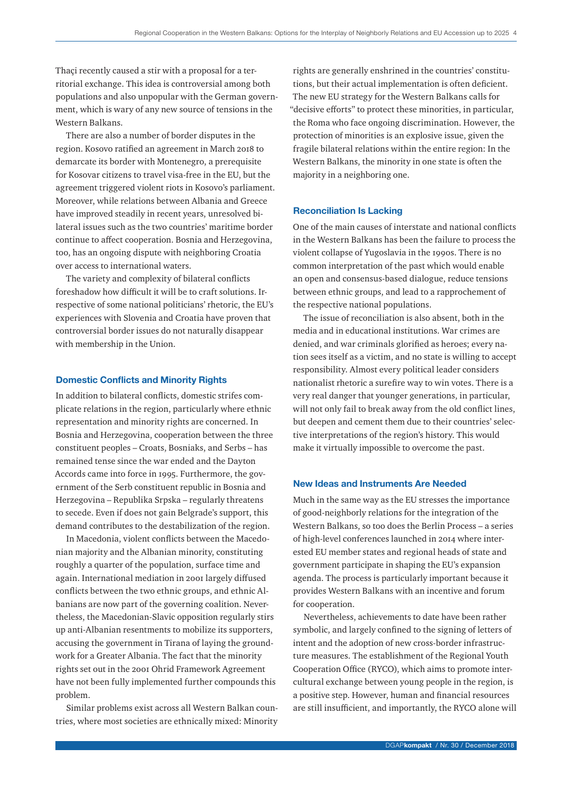Thaçi recently caused a stir with a proposal for a territorial exchange. This idea is controversial among both populations and also unpopular with the German government, which is wary of any new source of tensions in the Western Balkans.

There are also a number of border disputes in the region. Kosovo ratified an agreement in March 2018 to demarcate its border with Montenegro, a prerequisite for Kosovar citizens to travel visa-free in the EU, but the agreement triggered violent riots in Kosovo's parliament. Moreover, while relations between Albania and Greece have improved steadily in recent years, unresolved bilateral issues such as the two countries' maritime border continue to affect cooperation. Bosnia and Herzegovina, too, has an ongoing dispute with neighboring Croatia over access to international waters.

The variety and complexity of bilateral conflicts foreshadow how difficult it will be to craft solutions. Irrespective of some national politicians' rhetoric, the EU's experiences with Slovenia and Croatia have proven that controversial border issues do not naturally disappear with membership in the Union.

## Domestic Conflicts and Minority Rights

In addition to bilateral conflicts, domestic strifes complicate relations in the region, particularly where ethnic representation and minority rights are concerned. In Bosnia and Herzegovina, cooperation between the three constituent peoples – Croats, Bosniaks, and Serbs – has remained tense since the war ended and the Dayton Accords came into force in 1995. Furthermore, the government of the Serb constituent republic in Bosnia and Herzegovina – Republika Srpska – regularly threatens to secede. Even if does not gain Belgrade's support, this demand contributes to the destabilization of the region.

In Macedonia, violent conflicts between the Macedonian majority and the Albanian minority, constituting roughly a quarter of the population, surface time and again. International mediation in 2001 largely diffused conflicts between the two ethnic groups, and ethnic Albanians are now part of the governing coalition. Nevertheless, the Macedonian-Slavic opposition regularly stirs up anti-Albanian resentments to mobilize its supporters, accusing the government in Tirana of laying the groundwork for a Greater Albania. The fact that the minority rights set out in the 2001 Ohrid Framework Agreement have not been fully implemented further compounds this problem.

Similar problems exist across all Western Balkan countries, where most societies are ethnically mixed: Minority

rights are generally enshrined in the countries' constitutions, but their actual implementation is often deficient. The new EU strategy for the Western Balkans calls for "decisive efforts" to protect these minorities, in particular, the Roma who face ongoing discrimination. However, the protection of minorities is an explosive issue, given the fragile bilateral relations within the entire region: In the Western Balkans, the minority in one state is often the majority in a neighboring one.

#### Reconciliation Is Lacking

One of the main causes of interstate and national conflicts in the Western Balkans has been the failure to process the violent collapse of Yugoslavia in the 1990s. There is no common interpretation of the past which would enable an open and consensus-based dialogue, reduce tensions between ethnic groups, and lead to a rapprochement of the respective national populations.

The issue of reconciliation is also absent, both in the media and in educational institutions. War crimes are denied, and war criminals glorified as heroes; every nation sees itself as a victim, and no state is willing to accept responsibility. Almost every political leader considers nationalist rhetoric a surefire way to win votes. There is a very real danger that younger generations, in particular, will not only fail to break away from the old conflict lines, but deepen and cement them due to their countries' selective interpretations of the region's history. This would make it virtually impossible to overcome the past.

#### New Ideas and Instruments Are Needed

Much in the same way as the EU stresses the importance of good-neighborly relations for the integration of the Western Balkans, so too does the Berlin Process – a series of high-level conferences launched in 2014 where interested EU member states and regional heads of state and government participate in shaping the EU's expansion agenda. The process is particularly important because it provides Western Balkans with an incentive and forum for cooperation.

Nevertheless, achievements to date have been rather symbolic, and largely confined to the signing of letters of intent and the adoption of new cross-border infrastructure measures. The establishment of the Regional Youth Cooperation Office (RYCO), which aims to promote intercultural exchange between young people in the region, is a positive step. However, human and financial resources are still insufficient, and importantly, the RYCO alone will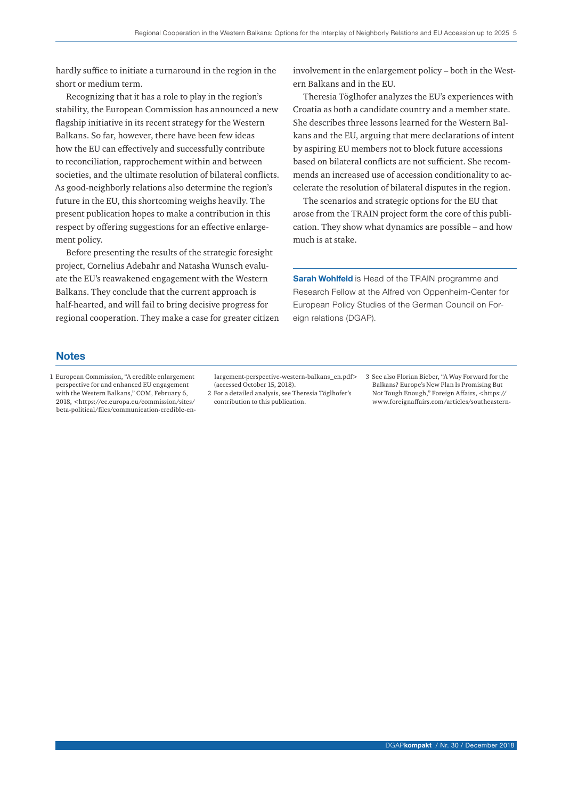hardly suffice to initiate a turnaround in the region in the short or medium term.

Recognizing that it has a role to play in the region's stability, the European Commission has announced a new flagship initiative in its recent strategy for the Western Balkans. So far, however, there have been few ideas how the EU can effectively and successfully contribute to reconciliation, rapprochement within and between societies, and the ultimate resolution of bilateral conflicts. As good-neighborly relations also determine the region's future in the EU, this shortcoming weighs heavily. The present publication hopes to make a contribution in this respect by offering suggestions for an effective enlargement policy.

Before presenting the results of the strategic foresight project, Cornelius Adebahr and Natasha Wunsch evaluate the EU's reawakened engagement with the Western Balkans. They conclude that the current approach is half-hearted, and will fail to bring decisive progress for regional cooperation. They make a case for greater citizen involvement in the enlargement policy – both in the Western Balkans and in the EU.

Theresia Töglhofer analyzes the EU's experiences with Croatia as both a candidate country and a member state. She describes three lessons learned for the Western Balkans and the EU, arguing that mere declarations of intent by aspiring EU members not to block future accessions based on bilateral conflicts are not sufficient. She recommends an increased use of accession conditionality to accelerate the resolution of bilateral disputes in the region.

The scenarios and strategic options for the EU that arose from the TRAIN project form the core of this publication. They show what dynamics are possible – and how much is at stake.

**Sarah Wohlfeld** is Head of the TRAIN programme and Research Fellow at the Alfred von Oppenheim-Center for European Policy Studies of the German Council on Foreign relations (DGAP).

## **Notes**

1 European Commission, "A credible enlargement perspective for and enhanced EU engagement with the Western Balkans," COM, February 6, 2018, <https://ec.europa.eu/commission/sites/ beta-political/files/communication-credible-enlargement-perspective-western-balkans\_en.pdf> (accessed October 15, 2018).

2 For a detailed analysis, see Theresia Töglhofer's contribution to this publication.

3 See also Florian Bieber, "A Way Forward for the Balkans? Europe's New Plan Is Promising But Not Tough Enough," Foreign Affairs, <https:// www.foreignaffairs.com/articles/southeastern-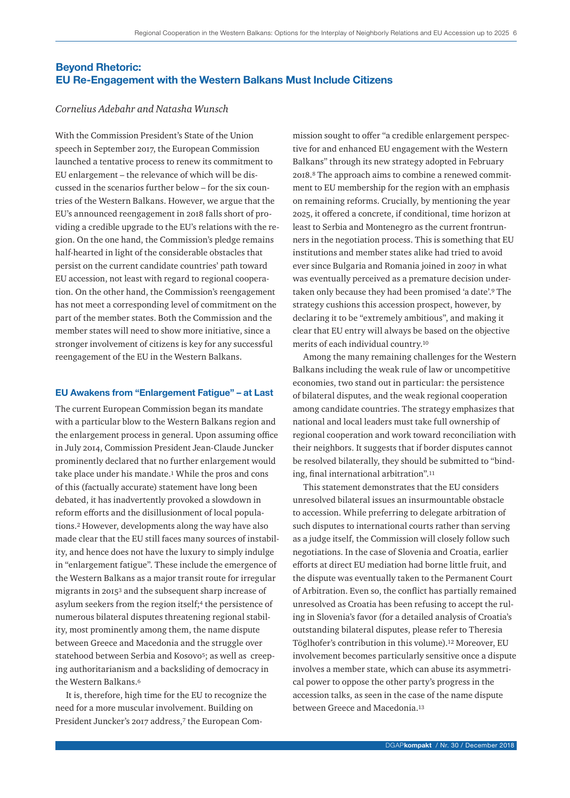# Beyond Rhetoric: EU Re-Engagement with the Western Balkans Must Include Citizens

# *Cornelius Adebahr and Natasha Wunsch*

With the Commission President's State of the Union speech in September 2017, the European Commission launched a tentative process to renew its commitment to EU enlargement – the relevance of which will be discussed in the scenarios further below – for the six countries of the Western Balkans. However, we argue that the EU's announced reengagement in 2018 falls short of providing a credible upgrade to the EU's relations with the region. On the one hand, the Commission's pledge remains half-hearted in light of the considerable obstacles that persist on the current candidate countries' path toward EU accession, not least with regard to regional cooperation. On the other hand, the Commission's reengagement has not meet a corresponding level of commitment on the part of the member states. Both the Commission and the member states will need to show more initiative, since a stronger involvement of citizens is key for any successful reengagement of the EU in the Western Balkans.

## EU Awakens from "Enlargement Fatigue" – at Last

The current European Commission began its mandate with a particular blow to the Western Balkans region and the enlargement process in general. Upon assuming office in July 2014, Commission President Jean-Claude Juncker prominently declared that no further enlargement would take place under his mandate.1 While the pros and cons of this (factually accurate) statement have long been debated, it has inadvertently provoked a slowdown in reform efforts and the disillusionment of local populations.2 However, developments along the way have also made clear that the EU still faces many sources of instability, and hence does not have the luxury to simply indulge in "enlargement fatigue". These include the emergence of the Western Balkans as a major transit route for irregular migrants in 20153 and the subsequent sharp increase of asylum seekers from the region itself;<sup>4</sup> the persistence of numerous bilateral disputes threatening regional stability, most prominently among them, the name dispute between Greece and Macedonia and the struggle over statehood between Serbia and Kosovo<sup>5</sup>; as well as creeping authoritarianism and a backsliding of democracy in the Western Balkans.6

It is, therefore, high time for the EU to recognize the need for a more muscular involvement. Building on President Juncker's 2017 address,7 the European Commission sought to offer "a credible enlargement perspective for and enhanced EU engagement with the Western Balkans" through its new strategy adopted in February 2018.8 The approach aims to combine a renewed commitment to EU membership for the region with an emphasis on remaining reforms. Crucially, by mentioning the year 2025, it offered a concrete, if conditional, time horizon at least to Serbia and Montenegro as the current frontrunners in the negotiation process. This is something that EU institutions and member states alike had tried to avoid ever since Bulgaria and Romania joined in 2007 in what was eventually perceived as a premature decision undertaken only because they had been promised 'a date'.9 The strategy cushions this accession prospect, however, by declaring it to be "extremely ambitious", and making it clear that EU entry will always be based on the objective merits of each individual country.10

Among the many remaining challenges for the Western Balkans including the weak rule of law or uncompetitive economies, two stand out in particular: the persistence of bilateral disputes, and the weak regional cooperation among candidate countries. The strategy emphasizes that national and local leaders must take full ownership of regional cooperation and work toward reconciliation with their neighbors. It suggests that if border disputes cannot be resolved bilaterally, they should be submitted to "binding, final international arbitration".11

This statement demonstrates that the EU considers unresolved bilateral issues an insurmountable obstacle to accession. While preferring to delegate arbitration of such disputes to international courts rather than serving as a judge itself, the Commission will closely follow such negotiations. In the case of Slovenia and Croatia, earlier efforts at direct EU mediation had borne little fruit, and the dispute was eventually taken to the Permanent Court of Arbitration. Even so, the conflict has partially remained unresolved as Croatia has been refusing to accept the ruling in Slovenia's favor (for a detailed analysis of Croatia's outstanding bilateral disputes, please refer to Theresia Töglhofer's contribution in this volume).12 Moreover, EU involvement becomes particularly sensitive once a dispute involves a member state, which can abuse its asymmetrical power to oppose the other party's progress in the accession talks, as seen in the case of the name dispute between Greece and Macedonia.13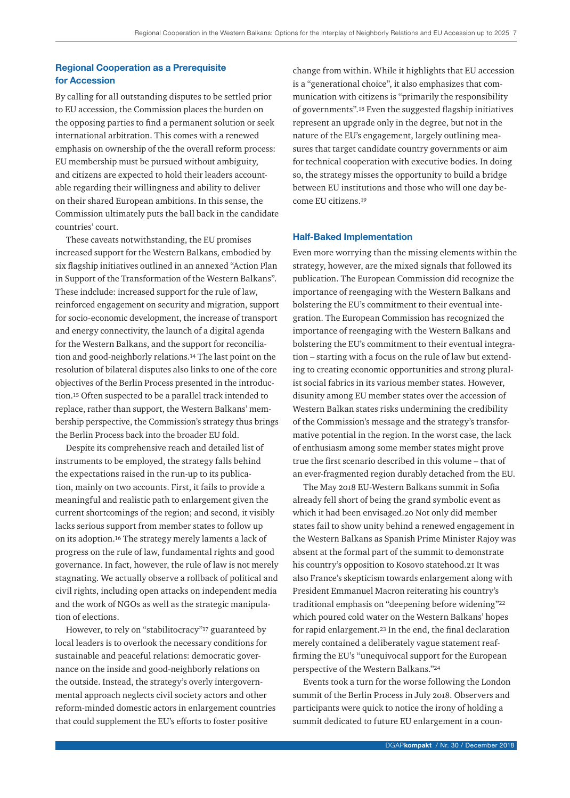# Regional Cooperation as a Prerequisite for Accession

By calling for all outstanding disputes to be settled prior to EU accession, the Commission places the burden on the opposing parties to find a permanent solution or seek international arbitration. This comes with a renewed emphasis on ownership of the the overall reform process: EU membership must be pursued without ambiguity, and citizens are expected to hold their leaders accountable regarding their willingness and ability to deliver on their shared European ambitions. In this sense, the Commission ultimately puts the ball back in the candidate countries' court.

These caveats notwithstanding, the EU promises increased support for the Western Balkans, embodied by six flagship initiatives outlined in an annexed "Action Plan in Support of the Transformation of the Western Balkans". These indclude: increased support for the rule of law, reinforced engagement on security and migration, support for socio-economic development, the increase of transport and energy connectivity, the launch of a digital agenda for the Western Balkans, and the support for reconciliation and good-neighborly relations.14 The last point on the resolution of bilateral disputes also links to one of the core objectives of the Berlin Process presented in the introduction.15 Often suspected to be a parallel track intended to replace, rather than support, the Western Balkans' membership perspective, the Commission's strategy thus brings the Berlin Process back into the broader EU fold.

Despite its comprehensive reach and detailed list of instruments to be employed, the strategy falls behind the expectations raised in the run-up to its publication, mainly on two accounts. First, it fails to provide a meaningful and realistic path to enlargement given the current shortcomings of the region; and second, it visibly lacks serious support from member states to follow up on its adoption.16 The strategy merely laments a lack of progress on the rule of law, fundamental rights and good governance. In fact, however, the rule of law is not merely stagnating. We actually observe a rollback of political and civil rights, including open attacks on independent media and the work of NGOs as well as the strategic manipulation of elections.

However, to rely on "stabilitocracy"17 guaranteed by local leaders is to overlook the necessary conditions for sustainable and peaceful relations: democratic governance on the inside and good-neighborly relations on the outside. Instead, the strategy's overly intergovernmental approach neglects civil society actors and other reform-minded domestic actors in enlargement countries that could supplement the EU's efforts to foster positive

change from within. While it highlights that EU accession is a "generational choice", it also emphasizes that communication with citizens is "primarily the responsibility of governments".18 Even the suggested flagship initiatives represent an upgrade only in the degree, but not in the nature of the EU's engagement, largely outlining measures that target candidate country governments or aim for technical cooperation with executive bodies. In doing so, the strategy misses the opportunity to build a bridge between EU institutions and those who will one day become EU citizens.19

# Half-Baked Implementation

Even more worrying than the missing elements within the strategy, however, are the mixed signals that followed its publication. The European Commission did recognize the importance of reengaging with the Western Balkans and bolstering the EU's commitment to their eventual integration. The European Commission has recognized the importance of reengaging with the Western Balkans and bolstering the EU's commitment to their eventual integration – starting with a focus on the rule of law but extending to creating economic opportunities and strong pluralist social fabrics in its various member states. However, disunity among EU member states over the accession of Western Balkan states risks undermining the credibility of the Commission's message and the strategy's transformative potential in the region. In the worst case, the lack of enthusiasm among some member states might prove true the first scenario described in this volume – that of an ever-fragmented region durably detached from the EU.

The May 2018 EU-Western Balkans summit in Sofia already fell short of being the grand symbolic event as which it had been envisaged.20 Not only did member states fail to show unity behind a renewed engagement in the Western Balkans as Spanish Prime Minister Rajoy was absent at the formal part of the summit to demonstrate his country's opposition to Kosovo statehood.21 It was also France's skepticism towards enlargement along with President Emmanuel Macron reiterating his country's traditional emphasis on "deepening before widening"22 which poured cold water on the Western Balkans' hopes for rapid enlargement.23 In the end, the final declaration merely contained a deliberately vague statement reaffirming the EU's "unequivocal support for the European perspective of the Western Balkans."24

Events took a turn for the worse following the London summit of the Berlin Process in July 2018. Observers and participants were quick to notice the irony of holding a summit dedicated to future EU enlargement in a coun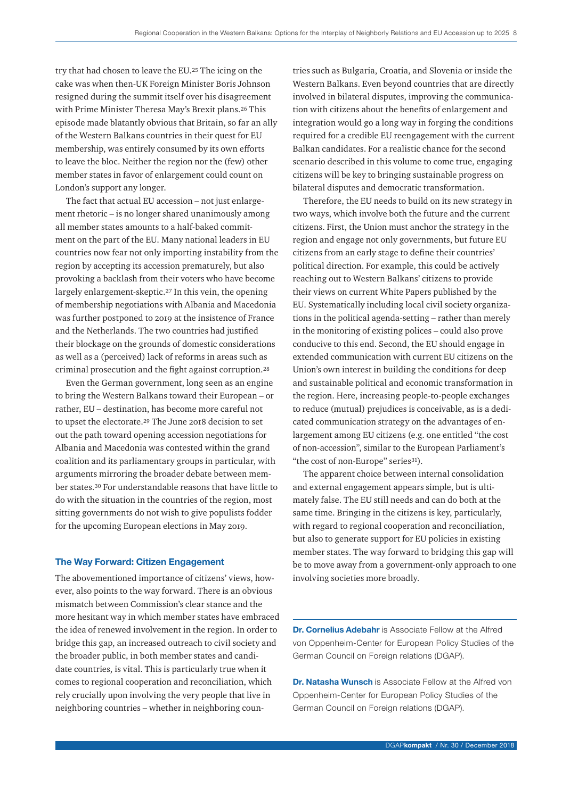try that had chosen to leave the EU.25 The icing on the cake was when then-UK Foreign Minister Boris Johnson resigned during the summit itself over his disagreement with Prime Minister Theresa May's Brexit plans.26 This episode made blatantly obvious that Britain, so far an ally of the Western Balkans countries in their quest for EU membership, was entirely consumed by its own efforts to leave the bloc. Neither the region nor the (few) other member states in favor of enlargement could count on London's support any longer.

The fact that actual EU accession – not just enlargement rhetoric – is no longer shared unanimously among all member states amounts to a half-baked commitment on the part of the EU. Many national leaders in EU countries now fear not only importing instability from the region by accepting its accession prematurely, but also provoking a backlash from their voters who have become largely enlargement-skeptic.27 In this vein, the opening of membership negotiations with Albania and Macedonia was further postponed to 2019 at the insistence of France and the Netherlands. The two countries had justified their blockage on the grounds of domestic considerations as well as a (perceived) lack of reforms in areas such as criminal prosecution and the fight against corruption.28

Even the German government, long seen as an engine to bring the Western Balkans toward their European – or rather, EU – destination, has become more careful not to upset the electorate.29 The June 2018 decision to set out the path toward opening accession negotiations for Albania and Macedonia was contested within the grand coalition and its parliamentary groups in particular, with arguments mirroring the broader debate between member states.30 For understandable reasons that have little to do with the situation in the countries of the region, most sitting governments do not wish to give populists fodder for the upcoming European elections in May 2019.

#### The Way Forward: Citizen Engagement

The abovementioned importance of citizens' views, however, also points to the way forward. There is an obvious mismatch between Commission's clear stance and the more hesitant way in which member states have embraced the idea of renewed involvement in the region. In order to bridge this gap, an increased outreach to civil society and the broader public, in both member states and candidate countries, is vital. This is particularly true when it comes to regional cooperation and reconciliation, which rely crucially upon involving the very people that live in neighboring countries – whether in neighboring countries such as Bulgaria, Croatia, and Slovenia or inside the Western Balkans. Even beyond countries that are directly involved in bilateral disputes, improving the communication with citizens about the benefits of enlargement and integration would go a long way in forging the conditions required for a credible EU reengagement with the current Balkan candidates. For a realistic chance for the second scenario described in this volume to come true, engaging citizens will be key to bringing sustainable progress on bilateral disputes and democratic transformation.

Therefore, the EU needs to build on its new strategy in two ways, which involve both the future and the current citizens. First, the Union must anchor the strategy in the region and engage not only governments, but future EU citizens from an early stage to define their countries' political direction. For example, this could be actively reaching out to Western Balkans' citizens to provide their views on current White Papers published by the EU. Systematically including local civil society organizations in the political agenda-setting – rather than merely in the monitoring of existing polices – could also prove conducive to this end. Second, the EU should engage in extended communication with current EU citizens on the Union's own interest in building the conditions for deep and sustainable political and economic transformation in the region. Here, increasing people-to-people exchanges to reduce (mutual) prejudices is conceivable, as is a dedicated communication strategy on the advantages of enlargement among EU citizens (e.g. one entitled "the cost of non-accession", similar to the European Parliament's "the cost of non-Europe" series<sup>31</sup>).

The apparent choice between internal consolidation and external engagement appears simple, but is ultimately false. The EU still needs and can do both at the same time. Bringing in the citizens is key, particularly, with regard to regional cooperation and reconciliation, but also to generate support for EU policies in existing member states. The way forward to bridging this gap will be to move away from a government-only approach to one involving societies more broadly.

Dr. Cornelius Adebahr is Associate Fellow at the Alfred von Oppenheim-Center for European Policy Studies of the German Council on Foreign relations (DGAP).

**Dr. Natasha Wunsch** is Associate Fellow at the Alfred von Oppenheim-Center for European Policy Studies of the German Council on Foreign relations (DGAP).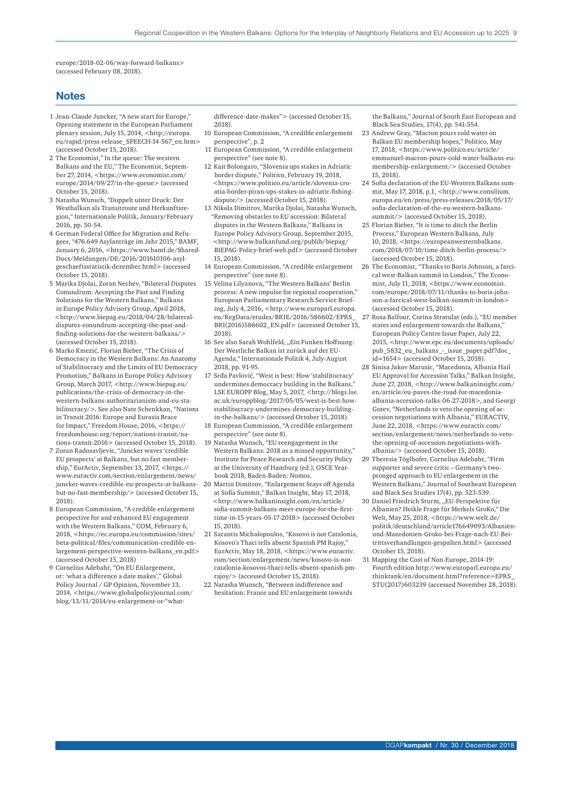europe/2018-02-06/way-forward-balkans> (accessed February 08, 2018).

# **Notes**

- 1 Jean-Claude Juncker, "A new start for Europe," Opening statement in the European Parliament plenary session, July 15, 2014, <http://europa. eu/rapid/press-release\_SPEECH-14-567\_en.htm> (accessed October 15, 2018).
- 2 The Economist," In the queue: The western Balkans and the EU," The Economist, September 27, 2014, <https://www.economist.com/ europe/2014/09/27/in-the-queue> (accessed October 15, 2018).
- 3 Natasha Wunsch, "Doppelt unter Druck: Der Westbalkan als Transitroute und Herkunftsregion," Internationale Politik, January/February 2016, pp. 50-54.
- 4 German Federal Office for Migration and Refugees, "476.649 Asylanträge im Jahr 2015," BAMF, January 6, 2016, <https://www.bamf.de/Shared-Docs/Meldungen/DE/2016/201610106-asylgeschaeftsstatistik-dezember.html> (accessed October 15, 2018).
- 5 Marika Djolai, Zoran Nechev, "Bilateral Disputes Conundrum: Accepting the Past and Finding Solutions for the Western Balkans," Balkans in Europe Policy Advisory Group, April 2018, <http://www.biepag.eu/2018/04/28/bilateraldisputes-conundrum-accepting-the-past-andfinding-solutions-for-the-western-balkans/> (accessed October 15, 2018).
- 6 Marko Kmezić, Florian Bieber, "The Crisis of Democracy in the Western Balkans: An Anatomy of Stabilitocracy and the Limits of EU Democracy Promotion," Balkans in Europe Policy Advisory Group, March 2017, <http://www.biepag.eu/ publications/the-crisis-of-democracy-in-thewestern-balkans-authoritarianism-and-eu-stabilitocracy/>. See also Nate Schenkkan, "Nations in Transit 2016: Europe and Eurasia Brace for Impact," Freedom House, 2016, <https:// freedomhouse.org/report/nations-transit/nations-transit-2016> (accessed October 15, 2018).
- 7 Zoran Radosavljevic, "Juncker waves 'credible EU prospects' at Balkans, but no fast membership," EurActiv, September 13, 2017, <https:// www.euractiv.com/section/enlargement/news/ juncker-waves-credible-eu-prospects-at-balkansbut-no-fast-membership/> (accessed October 15, 2018).
- 8 European Commission, "A credible enlargement perspective for and enhanced EU engagement with the Western Balkans," COM, February 6, 2018, <https://ec.europa.eu/commission/sites/ beta-political/files/communication-credible-enlargement-perspective-western-balkans\_en.pdf> (accessed October 15, 2018)
- 9 Cornelius Adebahr, "On EU Enlargement, or: 'what a difference a date makes'," Global Policy Journal / GP Opinion, November 13, 2014, <https://www.globalpolicyjournal.com/ blog/13/11/2014/eu-enlargement-or-"what-

difference-date-makes"> (accessed October 15, 2018).

- 10 European Commission, "A credible enlargement perspective", p. 2
- 11 European Commission, "A credible enlargement perspective" (see note 8).
- 12 Kait Bolongaro, "Slovenia ups stakes in Adriatic border dispute," Politico, February 19, 2018, <https://www.politico.eu/article/slovenia-croatia-border-piran-ups-stakes-in-adriatic-fishingdispute/> (accessed October 15, 2018).
- 13 Nikola Dimitrov, Marika Djolai, Natasha Wunsch, "Removing obstacles to EU accession: Bilateral disputes in the Western Balkans," Balkans in Europe Policy Advisory Group, September 2015, <http://www.balkanfund.org/publib/biepag/ BIEPAG-Policy-brief-web.pdf> (accessed October 15, 2018).
- 14 European Commission, "A credible enlargement perspective" (see note 8).
- 15 Velina Lilyanova, "The Western Balkans' Berlin process: A new impulse for regional cooperation,' European Parliamentary Research Service Briefing, July 4, 2016, <http://www.europarl.europa. eu/RegData/etudes/BRIE/2016/586602/EPRS\_ BRI(2016)586602\_EN.pdf> (accessed October 15, 2018).
- 16 See also Sarah Wohlfeld, "Ein Funken Hoffnung: Der Westliche Balkan ist zurück auf der EU-Agenda," Internationale Politik 4, July-August 2018, pp. 91-95.
- 17 Srđa Pavlović, "West is best: How 'stabilitocracy' undermines democracy building in the Balkans," LSE EUROPP Blog, May 5, 2017, <http://blogs.lse. ac.uk/europpblog/2017/05/05/west-is-best-howstabilitocracy-undermines-democracy-buildingin-the-balkans/> (accessed October 15, 2018).
- 18 European Commission, "A credible enlargement perspective" (see note 8).
- 19 Natasha Wunsch, "EU reengagement in the Western Balkans: 2018 as a missed opportunity," Institute for Peace Research and Security Policy at the University of Hamburg (ed.), OSCE Yearbook 2018, Baden-Baden: Nomos.
- 20 Martin Dimitrov, "Enlargement Stays off Agenda at Sofia Summit," Balkan Insight, May 17, 2018, <http://www.balkaninsight.com/en/article/ sofia-summit-balkans-meet-europe-for-the-firsttime-in-15-years-05-17-2018> (accessed October 15, 2018).
- 21 Sarantis Michalopoulos, "Kosovo is not Catalonia, Kosovo's Thaci tells absent Spanish PM Rajoy," EurActiv, May 18, 2018, <https://www.euractiv. com/section/enlargement/news/kosovo-is-notcatalonia-kosovos-thaci-tells-absent-spanish-pmrajoy/> (accessed October 15, 2018).
- 22 Natasha Wunsch, "Between indifference and hesitation: France and EU enlargement towards

the Balkans," Journal of South East European and Black Sea Studies, 17(4), pp. 541-554.

- 23 Andrew Gray, "Macron pours cold water on Balkan EU membership hopes," Politico, May 17, 2018, <https://www.politico.eu/article/ emmanuel-macron-pours-cold-water-balkans-eumembership-enlargement/> (accessed October 15, 2018).
- 24 Sofia declaration of the EU-Western Balkans summit, May 17, 2018, p.1, <http://www.consilium. europa.eu/en/press/press-releases/2018/05/17/ sofia-declaration-of-the-eu-western-balkanssummit/> (accessed October 15, 2018).
- 25 Florian Bieber, "It is time to ditch the Berlin Process," European Western Balkans, July 10, 2018, <https://europeanwesternbalkans. com/2018/07/10/time-ditch-berlin-process/> (accessed October 15, 2018).
- 26 The Economist, "Thanks to Boris Johnson, a farcical west-Balkan summit in London," The Economist, July 11, 2018, <https://www.economist. com/europe/2018/07/11/thanks-to-boris-johnson-a-farcical-west-balkan-summit-in-london> (accessed October 15, 2018).
- 27 Rosa Balfour, Corina Stratulat (eds.), "EU member states and enlargement towards the Balkans, European Policy Centre Issue Paper, July 22, 2015, <http://www.epc.eu/documents/uploads/ pub\_5832\_eu\_balkans\_-\_issue\_paper.pdf?doc\_ id=1654> (accessed October 15, 2018).
- 28 Sinisa Jakov Marusic, "Macedonia, Albania Hail EU Approval for Accession Talks," Balkan Insight, June 27, 2018, <http://www.balkaninsight.com/ en/article/eu-paves-the-road-for-macedoniaalbania-accession-talks-06-27-2018>, and Georgi Gotev, "Netherlands to veto the opening of accession negotiations with Albania," EURACTIV, June 22, 2018, <https://www.euractiv.com/ section/enlargement/news/netherlands-to-vetothe-opening-of-accession-negotiations-withalbania/> (accessed October 15, 2018).
- 29 Theresia Töglhofer, Cornelius Adebahr, "Firm supporter and severe critic – Germany's twopronged approach to EU enlargement in the Western Balkans," Journal of Southeast European and Black Sea Studies 17(4), pp. 523-539.
- 30 Daniel Friedrich Sturm, "EU-Perspektive für Albanien? Heikle Frage für Merkels GroKo," Die Welt, May 25, 2018, <https://www.welt.de/ politik/deutschland/article176649093/Albanienund-Mazedonien-Groko-bei-Frage-nach-EU-Beitrittsverhandlungen-gespalten.html> (accessed October 15, 2018).
- 31 Mapping the Cost of Non-Europe, 2014-19: Fourth edition http://www.europarl.europa.eu/ thinktank/en/document.html?reference=EPRS\_ STU(2017)603239 (accessed November 28, 2018).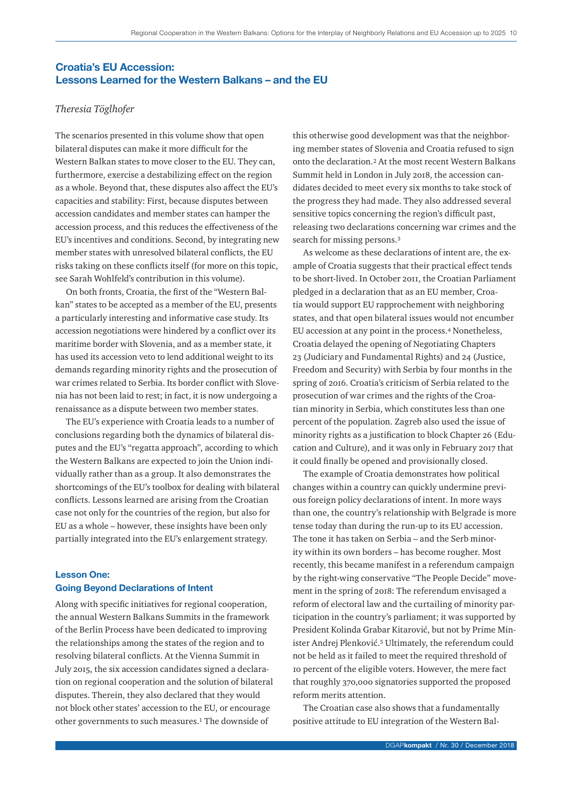# Croatia's EU Accession: Lessons Learned for the Western Balkans – and the EU

# *Theresia Töglhofer*

The scenarios presented in this volume show that open bilateral disputes can make it more difficult for the Western Balkan states to move closer to the EU. They can, furthermore, exercise a destabilizing effect on the region as a whole. Beyond that, these disputes also affect the EU's capacities and stability: First, because disputes between accession candidates and member states can hamper the accession process, and this reduces the effectiveness of the EU's incentives and conditions. Second, by integrating new member states with unresolved bilateral conflicts, the EU risks taking on these conflicts itself (for more on this topic, see Sarah Wohlfeld's contribution in this volume).

On both fronts, Croatia, the first of the "Western Balkan" states to be accepted as a member of the EU, presents a particularly interesting and informative case study. Its accession negotiations were hindered by a conflict over its maritime border with Slovenia, and as a member state, it has used its accession veto to lend additional weight to its demands regarding minority rights and the prosecution of war crimes related to Serbia. Its border conflict with Slovenia has not been laid to rest; in fact, it is now undergoing a renaissance as a dispute between two member states.

The EU's experience with Croatia leads to a number of conclusions regarding both the dynamics of bilateral disputes and the EU's "regatta approach", according to which the Western Balkans are expected to join the Union individually rather than as a group. It also demonstrates the shortcomings of the EU's toolbox for dealing with bilateral conflicts. Lessons learned are arising from the Croatian case not only for the countries of the region, but also for EU as a whole – however, these insights have been only partially integrated into the EU's enlargement strategy.

# Lesson One: Going Beyond Declarations of Intent

Along with specific initiatives for regional cooperation, the annual Western Balkans Summits in the framework of the Berlin Process have been dedicated to improving the relationships among the states of the region and to resolving bilateral conflicts. At the Vienna Summit in July 2015, the six accession candidates signed a declaration on regional cooperation and the solution of bilateral disputes. Therein, they also declared that they would not block other states' accession to the EU, or encourage other governments to such measures.1 The downside of

this otherwise good development was that the neighboring member states of Slovenia and Croatia refused to sign onto the declaration.2 At the most recent Western Balkans Summit held in London in July 2018, the accession candidates decided to meet every six months to take stock of the progress they had made. They also addressed several sensitive topics concerning the region's difficult past, releasing two declarations concerning war crimes and the search for missing persons.3

As welcome as these declarations of intent are, the example of Croatia suggests that their practical effect tends to be short-lived. In October 2011, the Croatian Parliament pledged in a declaration that as an EU member, Croatia would support EU rapprochement with neighboring states, and that open bilateral issues would not encumber EU accession at any point in the process.4 Nonetheless, Croatia delayed the opening of Negotiating Chapters 23 (Judiciary and Fundamental Rights) and 24 (Justice, Freedom and Security) with Serbia by four months in the spring of 2016. Croatia's criticism of Serbia related to the prosecution of war crimes and the rights of the Croatian minority in Serbia, which constitutes less than one percent of the population. Zagreb also used the issue of minority rights as a justification to block Chapter 26 (Education and Culture), and it was only in February 2017 that it could finally be opened and provisionally closed.

The example of Croatia demonstrates how political changes within a country can quickly undermine previous foreign policy declarations of intent. In more ways than one, the country's relationship with Belgrade is more tense today than during the run-up to its EU accession. The tone it has taken on Serbia – and the Serb minority within its own borders – has become rougher. Most recently, this became manifest in a referendum campaign by the right-wing conservative "The People Decide" movement in the spring of 2018: The referendum envisaged a reform of electoral law and the curtailing of minority participation in the country's parliament; it was supported by President Kolinda Grabar Kitarović, but not by Prime Minister Andrej Plenković.<sup>5</sup> Ultimately, the referendum could not be held as it failed to meet the required threshold of 10 percent of the eligible voters. However, the mere fact that roughly 370,000 signatories supported the proposed reform merits attention.

The Croatian case also shows that a fundamentally positive attitude to EU integration of the Western Bal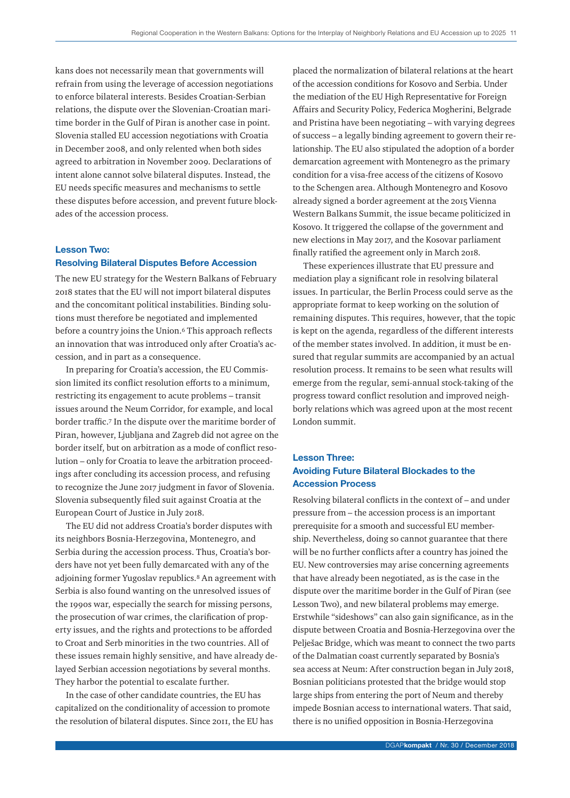kans does not necessarily mean that governments will refrain from using the leverage of accession negotiations to enforce bilateral interests. Besides Croatian-Serbian relations, the dispute over the Slovenian-Croatian maritime border in the Gulf of Piran is another case in point. Slovenia stalled EU accession negotiations with Croatia in December 2008, and only relented when both sides agreed to arbitration in November 2009. Declarations of intent alone cannot solve bilateral disputes. Instead, the EU needs specific measures and mechanisms to settle these disputes before accession, and prevent future blockades of the accession process.

# Lesson Two: Resolving Bilateral Disputes Before Accession

The new EU strategy for the Western Balkans of February 2018 states that the EU will not import bilateral disputes and the concomitant political instabilities. Binding solutions must therefore be negotiated and implemented before a country joins the Union.<sup>6</sup> This approach reflects an innovation that was introduced only after Croatia's accession, and in part as a consequence.

In preparing for Croatia's accession, the EU Commission limited its conflict resolution efforts to a minimum, restricting its engagement to acute problems – transit issues around the Neum Corridor, for example, and local border traffic.7 In the dispute over the maritime border of Piran, however, Ljubljana and Zagreb did not agree on the border itself, but on arbitration as a mode of conflict resolution – only for Croatia to leave the arbitration proceedings after concluding its accession process, and refusing to recognize the June 2017 judgment in favor of Slovenia. Slovenia subsequently filed suit against Croatia at the European Court of Justice in July 2018.

The EU did not address Croatia's border disputes with its neighbors Bosnia-Herzegovina, Montenegro, and Serbia during the accession process. Thus, Croatia's borders have not yet been fully demarcated with any of the adjoining former Yugoslav republics.8 An agreement with Serbia is also found wanting on the unresolved issues of the 1990s war, especially the search for missing persons, the prosecution of war crimes, the clarification of property issues, and the rights and protections to be afforded to Croat and Serb minorities in the two countries. All of these issues remain highly sensitive, and have already delayed Serbian accession negotiations by several months. They harbor the potential to escalate further.

In the case of other candidate countries, the EU has capitalized on the conditionality of accession to promote the resolution of bilateral disputes. Since 2011, the EU has placed the normalization of bilateral relations at the heart of the accession conditions for Kosovo and Serbia. Under the mediation of the EU High Representative for Foreign Affairs and Security Policy, Federica Mogherini, Belgrade and Pristina have been negotiating – with varying degrees of success – a legally binding agreement to govern their relationship. The EU also stipulated the adoption of a border demarcation agreement with Montenegro as the primary condition for a visa-free access of the citizens of Kosovo to the Schengen area. Although Montenegro and Kosovo already signed a border agreement at the 2015 Vienna Western Balkans Summit, the issue became politicized in Kosovo. It triggered the collapse of the government and new elections in May 2017, and the Kosovar parliament finally ratified the agreement only in March 2018.

These experiences illustrate that EU pressure and mediation play a significant role in resolving bilateral issues. In particular, the Berlin Process could serve as the appropriate format to keep working on the solution of remaining disputes. This requires, however, that the topic is kept on the agenda, regardless of the different interests of the member states involved. In addition, it must be ensured that regular summits are accompanied by an actual resolution process. It remains to be seen what results will emerge from the regular, semi-annual stock-taking of the progress toward conflict resolution and improved neighborly relations which was agreed upon at the most recent London summit.

# Lesson Three: Avoiding Future Bilateral Blockades to the Accession Process

Resolving bilateral conflicts in the context of – and under pressure from – the accession process is an important prerequisite for a smooth and successful EU membership. Nevertheless, doing so cannot guarantee that there will be no further conflicts after a country has joined the EU. New controversies may arise concerning agreements that have already been negotiated, as is the case in the dispute over the maritime border in the Gulf of Piran (see Lesson Two), and new bilateral problems may emerge. Erstwhile "sideshows" can also gain significance, as in the dispute between Croatia and Bosnia-Herzegovina over the Pelješac Bridge, which was meant to connect the two parts of the Dalmatian coast currently separated by Bosnia's sea access at Neum: After construction began in July 2018, Bosnian politicians protested that the bridge would stop large ships from entering the port of Neum and thereby impede Bosnian access to international waters. That said, there is no unified opposition in Bosnia-Herzegovina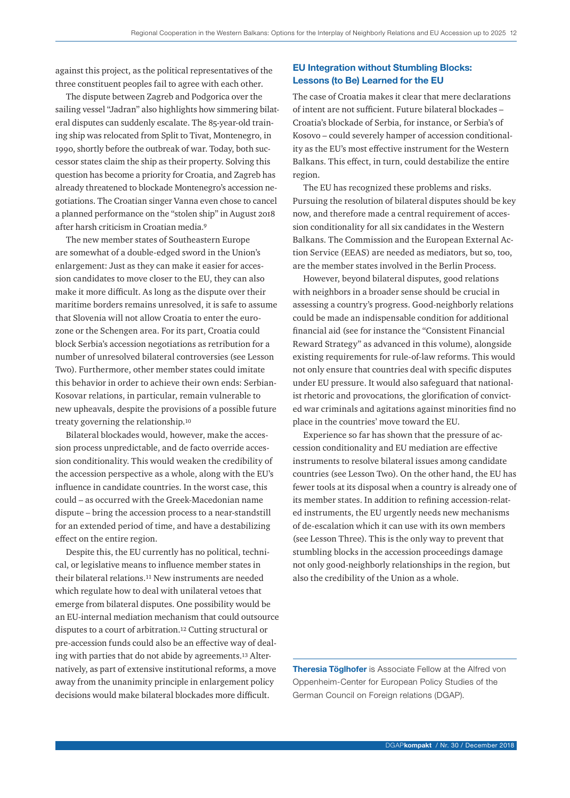against this project, as the political representatives of the three constituent peoples fail to agree with each other.

The dispute between Zagreb and Podgorica over the sailing vessel "Jadran" also highlights how simmering bilateral disputes can suddenly escalate. The 85-year-old training ship was relocated from Split to Tivat, Montenegro, in 1990, shortly before the outbreak of war. Today, both successor states claim the ship as their property. Solving this question has become a priority for Croatia, and Zagreb has already threatened to blockade Montenegro's accession negotiations. The Croatian singer Vanna even chose to cancel a planned performance on the "stolen ship" in August 2018 after harsh criticism in Croatian media.9

The new member states of Southeastern Europe are somewhat of a double-edged sword in the Union's enlargement: Just as they can make it easier for accession candidates to move closer to the EU, they can also make it more difficult. As long as the dispute over their maritime borders remains unresolved, it is safe to assume that Slovenia will not allow Croatia to enter the eurozone or the Schengen area. For its part, Croatia could block Serbia's accession negotiations as retribution for a number of unresolved bilateral controversies (see Lesson Two). Furthermore, other member states could imitate this behavior in order to achieve their own ends: Serbian-Kosovar relations, in particular, remain vulnerable to new upheavals, despite the provisions of a possible future treaty governing the relationship.10

Bilateral blockades would, however, make the accession process unpredictable, and de facto override accession conditionality. This would weaken the credibility of the accession perspective as a whole, along with the EU's influence in candidate countries. In the worst case, this could – as occurred with the Greek-Macedonian name dispute – bring the accession process to a near-standstill for an extended period of time, and have a destabilizing effect on the entire region.

Despite this, the EU currently has no political, technical, or legislative means to influence member states in their bilateral relations.11 New instruments are needed which regulate how to deal with unilateral vetoes that emerge from bilateral disputes. One possibility would be an EU-internal mediation mechanism that could outsource disputes to a court of arbitration.12 Cutting structural or pre-accession funds could also be an effective way of dealing with parties that do not abide by agreements.13 Alternatively, as part of extensive institutional reforms, a move away from the unanimity principle in enlargement policy decisions would make bilateral blockades more difficult.

# EU Integration without Stumbling Blocks: Lessons (to Be) Learned for the EU

The case of Croatia makes it clear that mere declarations of intent are not sufficient. Future bilateral blockades – Croatia's blockade of Serbia, for instance, or Serbia's of Kosovo – could severely hamper of accession conditionality as the EU's most effective instrument for the Western Balkans. This effect, in turn, could destabilize the entire region.

The EU has recognized these problems and risks. Pursuing the resolution of bilateral disputes should be key now, and therefore made a central requirement of accession conditionality for all six candidates in the Western Balkans. The Commission and the European External Action Service (EEAS) are needed as mediators, but so, too, are the member states involved in the Berlin Process.

However, beyond bilateral disputes, good relations with neighbors in a broader sense should be crucial in assessing a country's progress. Good-neighborly relations could be made an indispensable condition for additional financial aid (see for instance the "Consistent Financial Reward Strategy" as advanced in this volume), alongside existing requirements for rule-of-law reforms. This would not only ensure that countries deal with specific disputes under EU pressure. It would also safeguard that nationalist rhetoric and provocations, the glorification of convicted war criminals and agitations against minorities find no place in the countries' move toward the EU.

Experience so far has shown that the pressure of accession conditionality and EU mediation are effective instruments to resolve bilateral issues among candidate countries (see Lesson Two). On the other hand, the EU has fewer tools at its disposal when a country is already one of its member states. In addition to refining accession-related instruments, the EU urgently needs new mechanisms of de-escalation which it can use with its own members (see Lesson Three). This is the only way to prevent that stumbling blocks in the accession proceedings damage not only good-neighborly relationships in the region, but also the credibility of the Union as a whole.

Theresia Töglhofer is Associate Fellow at the Alfred von Oppenheim-Center for European Policy Studies of the German Council on Foreign relations (DGAP).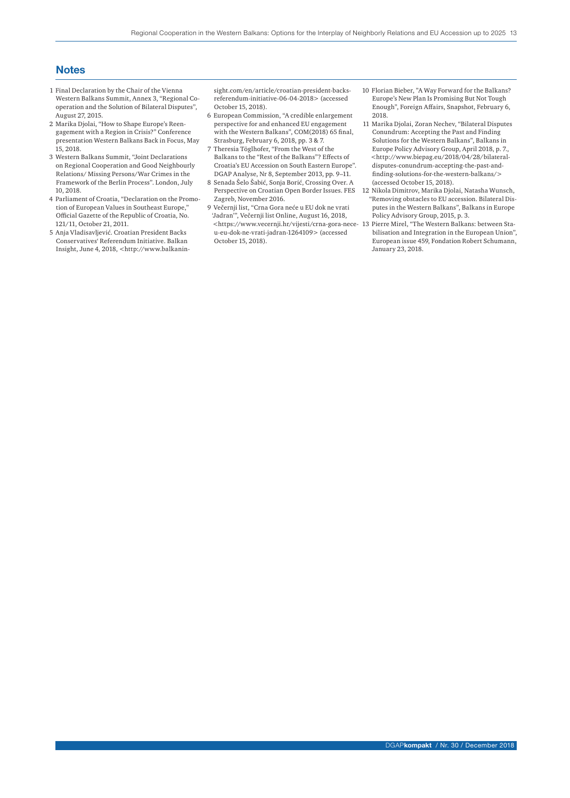# **Notes**

- 1 Final Declaration by the Chair of the Vienna Western Balkans Summit, Annex 3, "Regional Cooperation and the Solution of Bilateral Disputes", August 27, 2015.
- 2 Marika Djolai, "How to Shape Europe's Reengagement with a Region in Crisis?" Conference presentation Western Balkans Back in Focus, May 15, 2018.
- 3 Western Balkans Summit, "Joint Declarations on Regional Cooperation and Good Neighbourly Relations/ Missing Persons/War Crimes in the Framework of the Berlin Process". London, July 10, 2018.
- 4 Parliament of Croatia, "Declaration on the Promotion of European Values in Southeast Europe," Official Gazette of the Republic of Croatia, No. 121/11, October 21, 2011.
- 5 Anja Vladisavljević. Croatian President Backs Conservatives' Referendum Initiative. Balkan Insight, June 4, 2018, <http://www.balkanin-

sight.com/en/article/croatian-president-backsreferendum-initiative-06-04-2018> (accessed October 15, 2018).

- 6 European Commission, "A credible enlargement perspective for and enhanced EU engagement with the Western Balkans", COM(2018) 65 final, Strasburg, February 6, 2018, pp. 3 & 7.
- 7 Theresia Töglhofer, "From the West of the Balkans to the "Rest of the Balkans"? Effects of Croatia's EU Accession on South Eastern Europe". DGAP Analyse, Nr 8, September 2013, pp. 9–11.
- 8 Senada Šelo Šabić, Sonja Borić, Crossing Over. A Zagreb, November 2016.
- 9 Večernji list, "Crna Gora neće u EU dok ne vrati 'Jadran'", Večernji list Online, August 16, 2018, u-eu-dok-ne-vrati-jadran-1264109> (accessed October 15, 2018).
- 10 Florian Bieber, "A Way Forward for the Balkans? Europe's New Plan Is Promising But Not Tough Enough", Foreign Affairs, Snapshot, February 6, 2018.
- 11 Marika Djolai, Zoran Nechev, "Bilateral Disputes Conundrum: Accepting the Past and Finding Solutions for the Western Balkans", Balkans in Europe Policy Advisory Group, April 2018, p. 7., <http://www.biepag.eu/2018/04/28/bilateraldisputes-conundrum-accepting-the-past-andfinding-solutions-for-the-western-balkans/> (accessed October 15, 2018).
- Perspective on Croatian Open Border Issues. FES 12 Nikola Dimitrov, Marika Djolai, Natasha Wunsch, "Removing obstacles to EU accession. Bilateral Disputes in the Western Balkans", Balkans in Europe Policy Advisory Group, 2015, p. 3.
- <https://www.vecernji.hr/vijesti/crna-gora-nece-13 Pierre Mirel, "The Western Balkans: between Stabilisation and Integration in the European Union", European issue 459, Fondation Robert Schumann, January 23, 2018.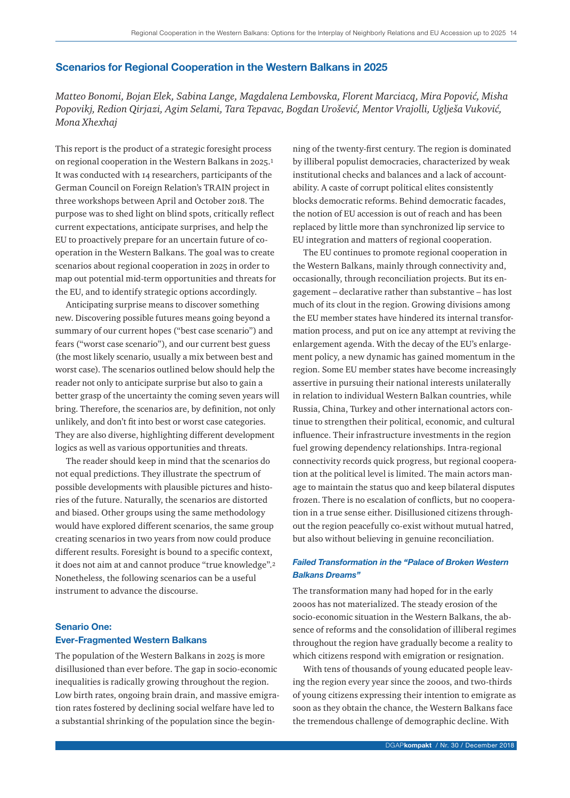# Scenarios for Regional Cooperation in the Western Balkans in 2025

*Matteo Bonomi, Bojan Elek, Sabina Lange, Magdalena Lembovska, Florent Marciacq, Mira Popović, Misha Popovikj, Redion Qirjazi, Agim Selami, Tara Tepavac, Bogdan Urošević, Mentor Vrajolli, Uglješa Vuković, Mona Xhexhaj*

This report is the product of a strategic foresight process on regional cooperation in the Western Balkans in 2025.1 It was conducted with 14 researchers, participants of the German Council on Foreign Relation's TRAIN project in three workshops between April and October 2018. The purpose was to shed light on blind spots, critically reflect current expectations, anticipate surprises, and help the EU to proactively prepare for an uncertain future of cooperation in the Western Balkans. The goal was to create scenarios about regional cooperation in 2025 in order to map out potential mid-term opportunities and threats for the EU, and to identify strategic options accordingly.

Anticipating surprise means to discover something new. Discovering possible futures means going beyond a summary of our current hopes ("best case scenario") and fears ("worst case scenario"), and our current best guess (the most likely scenario, usually a mix between best and worst case). The scenarios outlined below should help the reader not only to anticipate surprise but also to gain a better grasp of the uncertainty the coming seven years will bring. Therefore, the scenarios are, by definition, not only unlikely, and don't fit into best or worst case categories. They are also diverse, highlighting different development logics as well as various opportunities and threats.

The reader should keep in mind that the scenarios do not equal predictions. They illustrate the spectrum of possible developments with plausible pictures and histories of the future. Naturally, the scenarios are distorted and biased. Other groups using the same methodology would have explored different scenarios, the same group creating scenarios in two years from now could produce different results. Foresight is bound to a specific context, it does not aim at and cannot produce "true knowledge".2 Nonetheless, the following scenarios can be a useful instrument to advance the discourse.

# Senario One: Ever-Fragmented Western Balkans

The population of the Western Balkans in 2025 is more disillusioned than ever before. The gap in socio-economic inequalities is radically growing throughout the region. Low birth rates, ongoing brain drain, and massive emigration rates fostered by declining social welfare have led to a substantial shrinking of the population since the beginning of the twenty-first century. The region is dominated by illiberal populist democracies, characterized by weak institutional checks and balances and a lack of accountability. A caste of corrupt political elites consistently blocks democratic reforms. Behind democratic facades, the notion of EU accession is out of reach and has been replaced by little more than synchronized lip service to EU integration and matters of regional cooperation.

The EU continues to promote regional cooperation in the Western Balkans, mainly through connectivity and, occasionally, through reconciliation projects. But its engagement – declarative rather than substantive – has lost much of its clout in the region. Growing divisions among the EU member states have hindered its internal transformation process, and put on ice any attempt at reviving the enlargement agenda. With the decay of the EU's enlargement policy, a new dynamic has gained momentum in the region. Some EU member states have become increasingly assertive in pursuing their national interests unilaterally in relation to individual Western Balkan countries, while Russia, China, Turkey and other international actors continue to strengthen their political, economic, and cultural influence. Their infrastructure investments in the region fuel growing dependency relationships. Intra-regional connectivity records quick progress, but regional cooperation at the political level is limited. The main actors manage to maintain the status quo and keep bilateral disputes frozen. There is no escalation of conflicts, but no cooperation in a true sense either. Disillusioned citizens throughout the region peacefully co-exist without mutual hatred, but also without believing in genuine reconciliation.

# *Failed Transformation in the "Palace of Broken Western Balkans Dreams"*

The transformation many had hoped for in the early 2000s has not materialized. The steady erosion of the socio-economic situation in the Western Balkans, the absence of reforms and the consolidation of illiberal regimes throughout the region have gradually become a reality to which citizens respond with emigration or resignation.

With tens of thousands of young educated people leaving the region every year since the 2000s, and two-thirds of young citizens expressing their intention to emigrate as soon as they obtain the chance, the Western Balkans face the tremendous challenge of demographic decline. With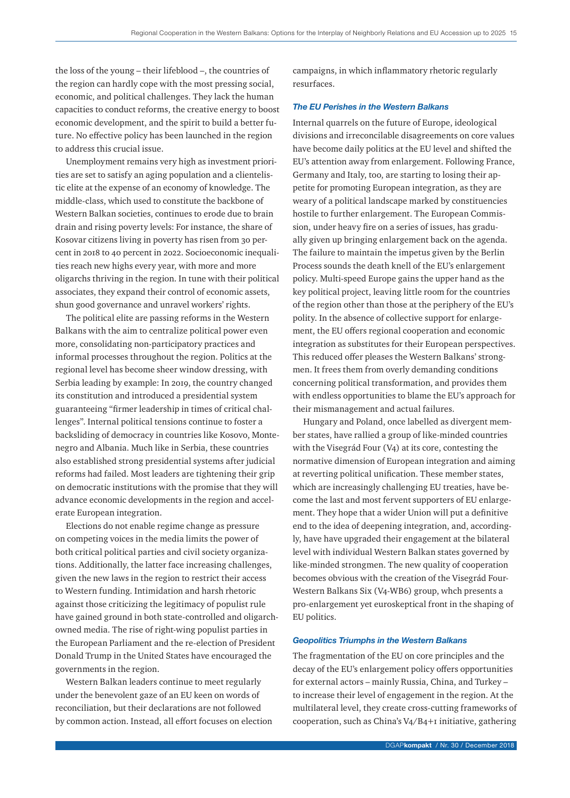the loss of the young – their lifeblood –, the countries of the region can hardly cope with the most pressing social, economic, and political challenges. They lack the human capacities to conduct reforms, the creative energy to boost economic development, and the spirit to build a better future. No effective policy has been launched in the region to address this crucial issue.

Unemployment remains very high as investment priorities are set to satisfy an aging population and a clientelistic elite at the expense of an economy of knowledge. The middle-class, which used to constitute the backbone of Western Balkan societies, continues to erode due to brain drain and rising poverty levels: For instance, the share of Kosovar citizens living in poverty has risen from 30 percent in 2018 to 40 percent in 2022. Socioeconomic inequalities reach new highs every year, with more and more oligarchs thriving in the region. In tune with their political associates, they expand their control of economic assets, shun good governance and unravel workers' rights.

The political elite are passing reforms in the Western Balkans with the aim to centralize political power even more, consolidating non-participatory practices and informal processes throughout the region. Politics at the regional level has become sheer window dressing, with Serbia leading by example: In 2019, the country changed its constitution and introduced a presidential system guaranteeing "firmer leadership in times of critical challenges". Internal political tensions continue to foster a backsliding of democracy in countries like Kosovo, Montenegro and Albania. Much like in Serbia, these countries also established strong presidential systems after judicial reforms had failed. Most leaders are tightening their grip on democratic institutions with the promise that they will advance economic developments in the region and accelerate European integration.

Elections do not enable regime change as pressure on competing voices in the media limits the power of both critical political parties and civil society organizations. Additionally, the latter face increasing challenges, given the new laws in the region to restrict their access to Western funding. Intimidation and harsh rhetoric against those criticizing the legitimacy of populist rule have gained ground in both state-controlled and oligarchowned media. The rise of right-wing populist parties in the European Parliament and the re-election of President Donald Trump in the United States have encouraged the governments in the region.

Western Balkan leaders continue to meet regularly under the benevolent gaze of an EU keen on words of reconciliation, but their declarations are not followed by common action. Instead, all effort focuses on election campaigns, in which inflammatory rhetoric regularly resurfaces.

#### *The EU Perishes in the Western Balkans*

Internal quarrels on the future of Europe, ideological divisions and irreconcilable disagreements on core values have become daily politics at the EU level and shifted the EU's attention away from enlargement. Following France, Germany and Italy, too, are starting to losing their appetite for promoting European integration, as they are weary of a political landscape marked by constituencies hostile to further enlargement. The European Commission, under heavy fire on a series of issues, has gradually given up bringing enlargement back on the agenda. The failure to maintain the impetus given by the Berlin Process sounds the death knell of the EU's enlargement policy. Multi-speed Europe gains the upper hand as the key political project, leaving little room for the countries of the region other than those at the periphery of the EU's polity. In the absence of collective support for enlargement, the EU offers regional cooperation and economic integration as substitutes for their European perspectives. This reduced offer pleases the Western Balkans' strongmen. It frees them from overly demanding conditions concerning political transformation, and provides them with endless opportunities to blame the EU's approach for their mismanagement and actual failures.

Hungary and Poland, once labelled as divergent member states, have rallied a group of like-minded countries with the Visegrád Four (V4) at its core, contesting the normative dimension of European integration and aiming at reverting political unification. These member states, which are increasingly challenging EU treaties, have become the last and most fervent supporters of EU enlargement. They hope that a wider Union will put a definitive end to the idea of deepening integration, and, accordingly, have have upgraded their engagement at the bilateral level with individual Western Balkan states governed by like-minded strongmen. The new quality of cooperation becomes obvious with the creation of the Visegrád Four-Western Balkans Six (V4-WB6) group, whch presents a pro-enlargement yet euroskeptical front in the shaping of EU politics.

#### *Geopolitics Triumphs in the Western Balkans*

The fragmentation of the EU on core principles and the decay of the EU's enlargement policy offers opportunities for external actors – mainly Russia, China, and Turkey – to increase their level of engagement in the region. At the multilateral level, they create cross-cutting frameworks of cooperation, such as China's V4/B4+1 initiative, gathering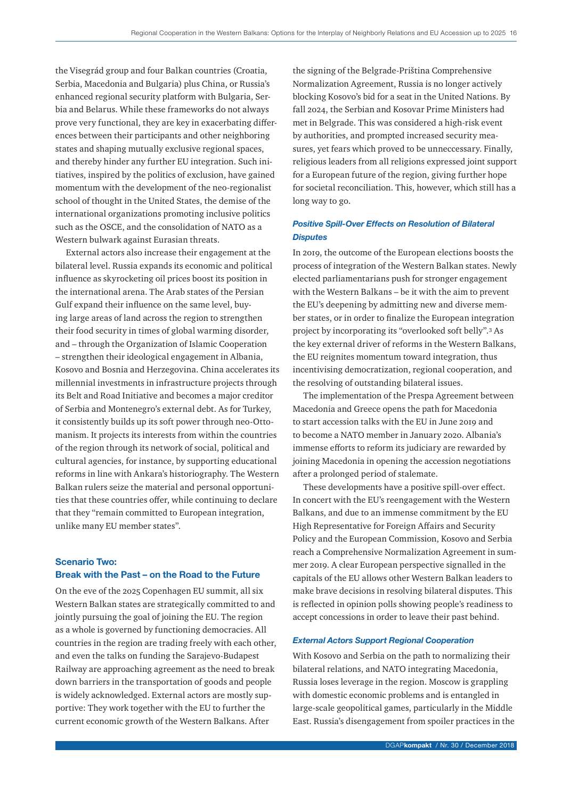the Visegrád group and four Balkan countries (Croatia, Serbia, Macedonia and Bulgaria) plus China, or Russia's enhanced regional security platform with Bulgaria, Serbia and Belarus. While these frameworks do not always prove very functional, they are key in exacerbating differences between their participants and other neighboring states and shaping mutually exclusive regional spaces, and thereby hinder any further EU integration. Such initiatives, inspired by the politics of exclusion, have gained momentum with the development of the neo-regionalist school of thought in the United States, the demise of the international organizations promoting inclusive politics such as the OSCE, and the consolidation of NATO as a Western bulwark against Eurasian threats.

External actors also increase their engagement at the bilateral level. Russia expands its economic and political influence as skyrocketing oil prices boost its position in the international arena. The Arab states of the Persian Gulf expand their influence on the same level, buying large areas of land across the region to strengthen their food security in times of global warming disorder, and – through the Organization of Islamic Cooperation – strengthen their ideological engagement in Albania, Kosovo and Bosnia and Herzegovina. China accelerates its millennial investments in infrastructure projects through its Belt and Road Initiative and becomes a major creditor of Serbia and Montenegro's external debt. As for Turkey, it consistently builds up its soft power through neo-Ottomanism. It projects its interests from within the countries of the region through its network of social, political and cultural agencies, for instance, by supporting educational reforms in line with Ankara's historiography. The Western Balkan rulers seize the material and personal opportunities that these countries offer, while continuing to declare that they "remain committed to European integration, unlike many EU member states".

# Scenario Two: Break with the Past – on the Road to the Future

On the eve of the 2025 Copenhagen EU summit, all six Western Balkan states are strategically committed to and jointly pursuing the goal of joining the EU. The region as a whole is governed by functioning democracies. All countries in the region are trading freely with each other, and even the talks on funding the Sarajevo-Budapest Railway are approaching agreement as the need to break down barriers in the transportation of goods and people is widely acknowledged. External actors are mostly supportive: They work together with the EU to further the current economic growth of the Western Balkans. After

the signing of the Belgrade-Priština Comprehensive Normalization Agreement, Russia is no longer actively blocking Kosovo's bid for a seat in the United Nations. By fall 2024, the Serbian and Kosovar Prime Ministers had met in Belgrade. This was considered a high-risk event by authorities, and prompted increased security measures, yet fears which proved to be unneccessary. Finally, religious leaders from all religions expressed joint support for a European future of the region, giving further hope for societal reconciliation. This, however, which still has a long way to go.

# *Positive Spill-Over Effects on Resolution of Bilateral Disputes*

In 2019, the outcome of the European elections boosts the process of integration of the Western Balkan states. Newly elected parliamentarians push for stronger engagement with the Western Balkans – be it with the aim to prevent the EU's deepening by admitting new and diverse member states, or in order to finalize the European integration project by incorporating its "overlooked soft belly".3 As the key external driver of reforms in the Western Balkans, the EU reignites momentum toward integration, thus incentivising democratization, regional cooperation, and the resolving of outstanding bilateral issues.

The implementation of the Prespa Agreement between Macedonia and Greece opens the path for Macedonia to start accession talks with the EU in June 2019 and to become a NATO member in January 2020. Albania's immense efforts to reform its judiciary are rewarded by joining Macedonia in opening the accession negotiations after a prolonged period of stalemate.

These developments have a positive spill-over effect. In concert with the EU's reengagement with the Western Balkans, and due to an immense commitment by the EU High Representative for Foreign Affairs and Security Policy and the European Commission, Kosovo and Serbia reach a Comprehensive Normalization Agreement in summer 2019. A clear European perspective signalled in the capitals of the EU allows other Western Balkan leaders to make brave decisions in resolving bilateral disputes. This is reflected in opinion polls showing people's readiness to accept concessions in order to leave their past behind.

#### *External Actors Support Regional Cooperation*

With Kosovo and Serbia on the path to normalizing their bilateral relations, and NATO integrating Macedonia, Russia loses leverage in the region. Moscow is grappling with domestic economic problems and is entangled in large-scale geopolitical games, particularly in the Middle East. Russia's disengagement from spoiler practices in the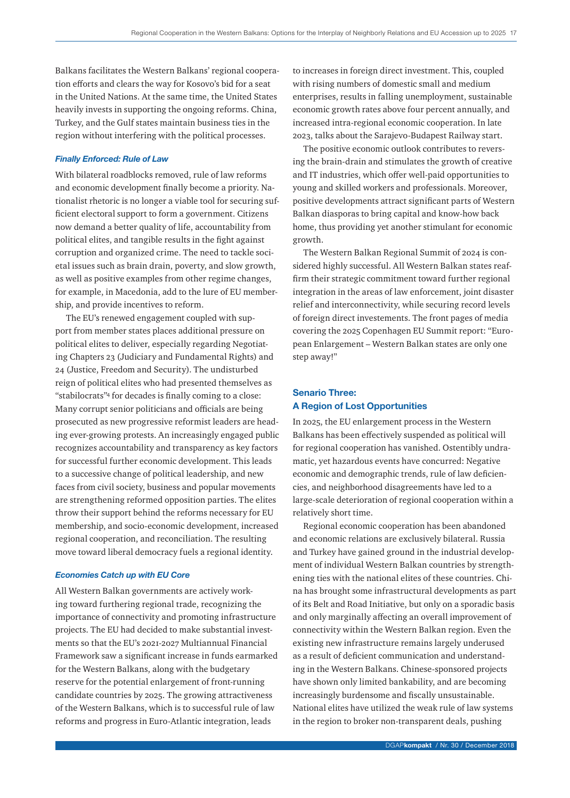Balkans facilitates the Western Balkans' regional cooperation efforts and clears the way for Kosovo's bid for a seat in the United Nations. At the same time, the United States heavily invests in supporting the ongoing reforms. China, Turkey, and the Gulf states maintain business ties in the region without interfering with the political processes.

#### *Finally Enforced: Rule of Law*

With bilateral roadblocks removed, rule of law reforms and economic development finally become a priority. Nationalist rhetoric is no longer a viable tool for securing sufficient electoral support to form a government. Citizens now demand a better quality of life, accountability from political elites, and tangible results in the fight against corruption and organized crime. The need to tackle societal issues such as brain drain, poverty, and slow growth, as well as positive examples from other regime changes, for example, in Macedonia, add to the lure of EU membership, and provide incentives to reform.

The EU's renewed engagement coupled with support from member states places additional pressure on political elites to deliver, especially regarding Negotiating Chapters 23 (Judiciary and Fundamental Rights) and 24 (Justice, Freedom and Security). The undisturbed reign of political elites who had presented themselves as "stabilocrats"4 for decades is finally coming to a close: Many corrupt senior politicians and officials are being prosecuted as new progressive reformist leaders are heading ever-growing protests. An increasingly engaged public recognizes accountability and transparency as key factors for successful further economic development. This leads to a successive change of political leadership, and new faces from civil society, business and popular movements are strengthening reformed opposition parties. The elites throw their support behind the reforms necessary for EU membership, and socio-economic development, increased regional cooperation, and reconciliation. The resulting move toward liberal democracy fuels a regional identity.

#### *Economies Catch up with EU Core*

All Western Balkan governments are actively working toward furthering regional trade, recognizing the importance of connectivity and promoting infrastructure projects. The EU had decided to make substantial investments so that the EU's 2021-2027 Multiannual Financial Framework saw a significant increase in funds earmarked for the Western Balkans, along with the budgetary reserve for the potential enlargement of front-running candidate countries by 2025. The growing attractiveness of the Western Balkans, which is to successful rule of law reforms and progress in Euro-Atlantic integration, leads

to increases in foreign direct investment. This, coupled with rising numbers of domestic small and medium enterprises, results in falling unemployment, sustainable economic growth rates above four percent annually, and increased intra-regional economic cooperation. In late 2023, talks about the Sarajevo-Budapest Railway start.

The positive economic outlook contributes to reversing the brain-drain and stimulates the growth of creative and IT industries, which offer well-paid opportunities to young and skilled workers and professionals. Moreover, positive developments attract significant parts of Western Balkan diasporas to bring capital and know-how back home, thus providing yet another stimulant for economic growth.

The Western Balkan Regional Summit of 2024 is considered highly successful. All Western Balkan states reaffirm their strategic commitment toward further regional integration in the areas of law enforcement, joint disaster relief and interconnectivity, while securing record levels of foreign direct investements. The front pages of media covering the 2025 Copenhagen EU Summit report: "European Enlargement – Western Balkan states are only one step away!"

# Senario Three: A Region of Lost Opportunities

In 2025, the EU enlargement process in the Western Balkans has been effectively suspended as political will for regional cooperation has vanished. Ostentibly undramatic, yet hazardous events have concurred: Negative economic and demographic trends, rule of law deficiencies, and neighborhood disagreements have led to a large-scale deterioration of regional cooperation within a relatively short time.

Regional economic cooperation has been abandoned and economic relations are exclusively bilateral. Russia and Turkey have gained ground in the industrial development of individual Western Balkan countries by strengthening ties with the national elites of these countries. China has brought some infrastructural developments as part of its Belt and Road Initiative, but only on a sporadic basis and only marginally affecting an overall improvement of connectivity within the Western Balkan region. Even the existing new infrastructure remains largely underused as a result of deficient communication and understanding in the Western Balkans. Chinese-sponsored projects have shown only limited bankability, and are becoming increasingly burdensome and fiscally unsustainable. National elites have utilized the weak rule of law systems in the region to broker non-transparent deals, pushing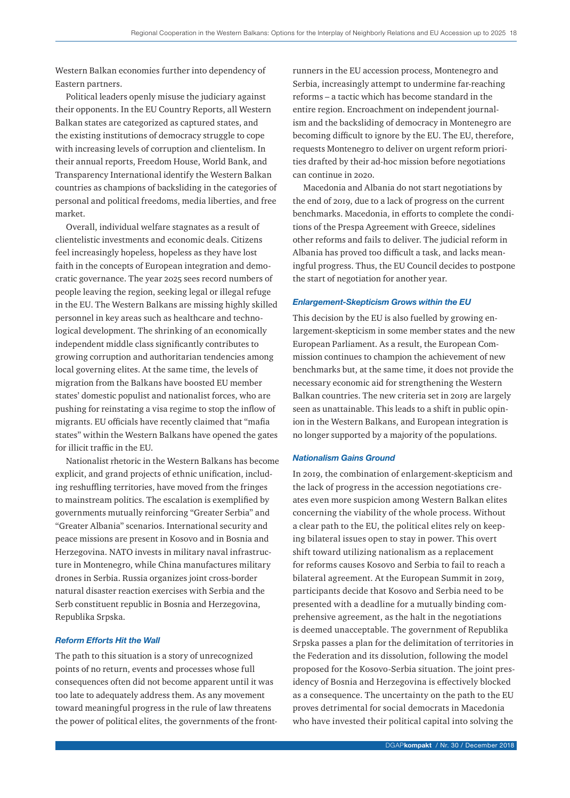Western Balkan economies further into dependency of Eastern partners.

Political leaders openly misuse the judiciary against their opponents. In the EU Country Reports, all Western Balkan states are categorized as captured states, and the existing institutions of democracy struggle to cope with increasing levels of corruption and clientelism. In their annual reports, Freedom House, World Bank, and Transparency International identify the Western Balkan countries as champions of backsliding in the categories of personal and political freedoms, media liberties, and free market.

Overall, individual welfare stagnates as a result of clientelistic investments and economic deals. Citizens feel increasingly hopeless, hopeless as they have lost faith in the concepts of European integration and democratic governance. The year 2025 sees record numbers of people leaving the region, seeking legal or illegal refuge in the EU. The Western Balkans are missing highly skilled personnel in key areas such as healthcare and technological development. The shrinking of an economically independent middle class significantly contributes to growing corruption and authoritarian tendencies among local governing elites. At the same time, the levels of migration from the Balkans have boosted EU member states' domestic populist and nationalist forces, who are pushing for reinstating a visa regime to stop the inflow of migrants. EU officials have recently claimed that "mafia states" within the Western Balkans have opened the gates for illicit traffic in the EU.

Nationalist rhetoric in the Western Balkans has become explicit, and grand projects of ethnic unification, including reshuffling territories, have moved from the fringes to mainstream politics. The escalation is exemplified by governments mutually reinforcing "Greater Serbia" and "Greater Albania" scenarios. International security and peace missions are present in Kosovo and in Bosnia and Herzegovina. NATO invests in military naval infrastructure in Montenegro, while China manufactures military drones in Serbia. Russia organizes joint cross-border natural disaster reaction exercises with Serbia and the Serb constituent republic in Bosnia and Herzegovina, Republika Srpska.

#### *Reform Efforts Hit the Wall*

The path to this situation is a story of unrecognized points of no return, events and processes whose full consequences often did not become apparent until it was too late to adequately address them. As any movement toward meaningful progress in the rule of law threatens the power of political elites, the governments of the frontrunners in the EU accession process, Montenegro and Serbia, increasingly attempt to undermine far-reaching reforms – a tactic which has become standard in the entire region. Encroachment on independent journalism and the backsliding of democracy in Montenegro are becoming difficult to ignore by the EU. The EU, therefore, requests Montenegro to deliver on urgent reform priorities drafted by their ad-hoc mission before negotiations can continue in 2020.

Macedonia and Albania do not start negotiations by the end of 2019, due to a lack of progress on the current benchmarks. Macedonia, in efforts to complete the conditions of the Prespa Agreement with Greece, sidelines other reforms and fails to deliver. The judicial reform in Albania has proved too difficult a task, and lacks meaningful progress. Thus, the EU Council decides to postpone the start of negotiation for another year.

#### *Enlargement-Skepticism Grows within the EU*

This decision by the EU is also fuelled by growing enlargement-skepticism in some member states and the new European Parliament. As a result, the European Commission continues to champion the achievement of new benchmarks but, at the same time, it does not provide the necessary economic aid for strengthening the Western Balkan countries. The new criteria set in 2019 are largely seen as unattainable. This leads to a shift in public opinion in the Western Balkans, and European integration is no longer supported by a majority of the populations.

#### *Nationalism Gains Ground*

In 2019, the combination of enlargement-skepticism and the lack of progress in the accession negotiations creates even more suspicion among Western Balkan elites concerning the viability of the whole process. Without a clear path to the EU, the political elites rely on keeping bilateral issues open to stay in power. This overt shift toward utilizing nationalism as a replacement for reforms causes Kosovo and Serbia to fail to reach a bilateral agreement. At the European Summit in 2019, participants decide that Kosovo and Serbia need to be presented with a deadline for a mutually binding comprehensive agreement, as the halt in the negotiations is deemed unacceptable. The government of Republika Srpska passes a plan for the delimitation of territories in the Federation and its dissolution, following the model proposed for the Kosovo-Serbia situation. The joint presidency of Bosnia and Herzegovina is effectively blocked as a consequence. The uncertainty on the path to the EU proves detrimental for social democrats in Macedonia who have invested their political capital into solving the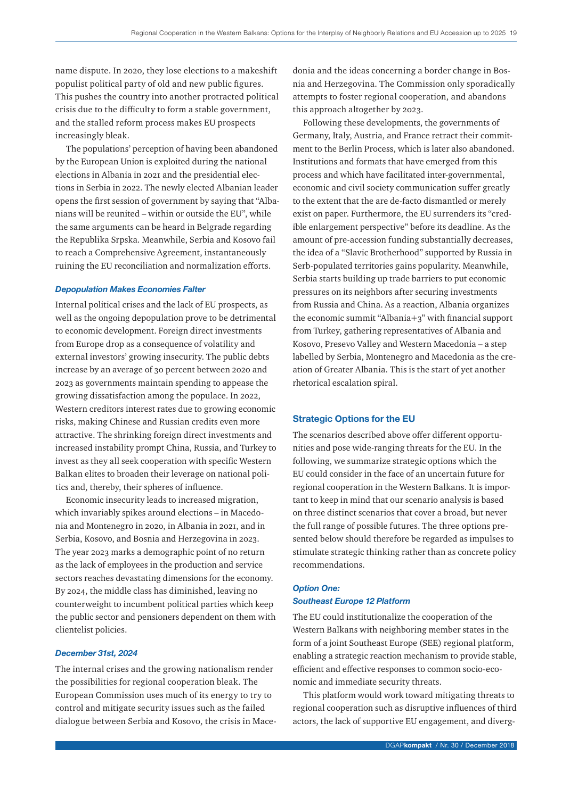name dispute. In 2020, they lose elections to a makeshift populist political party of old and new public figures. This pushes the country into another protracted political crisis due to the difficulty to form a stable government, and the stalled reform process makes EU prospects increasingly bleak.

The populations' perception of having been abandoned by the European Union is exploited during the national elections in Albania in 2021 and the presidential elections in Serbia in 2022. The newly elected Albanian leader opens the first session of government by saying that "Albanians will be reunited – within or outside the EU", while the same arguments can be heard in Belgrade regarding the Republika Srpska. Meanwhile, Serbia and Kosovo fail to reach a Comprehensive Agreement, instantaneously ruining the EU reconciliation and normalization efforts.

## *Depopulation Makes Economies Falter*

Internal political crises and the lack of EU prospects, as well as the ongoing depopulation prove to be detrimental to economic development. Foreign direct investments from Europe drop as a consequence of volatility and external investors' growing insecurity. The public debts increase by an average of 30 percent between 2020 and 2023 as governments maintain spending to appease the growing dissatisfaction among the populace. In 2022, Western creditors interest rates due to growing economic risks, making Chinese and Russian credits even more attractive. The shrinking foreign direct investments and increased instability prompt China, Russia, and Turkey to invest as they all seek cooperation with specific Western Balkan elites to broaden their leverage on national politics and, thereby, their spheres of influence.

Economic insecurity leads to increased migration, which invariably spikes around elections – in Macedonia and Montenegro in 2020, in Albania in 2021, and in Serbia, Kosovo, and Bosnia and Herzegovina in 2023. The year 2023 marks a demographic point of no return as the lack of employees in the production and service sectors reaches devastating dimensions for the economy. By 2024, the middle class has diminished, leaving no counterweight to incumbent political parties which keep the public sector and pensioners dependent on them with clientelist policies.

#### *December 31st, 2024*

The internal crises and the growing nationalism render the possibilities for regional cooperation bleak. The European Commission uses much of its energy to try to control and mitigate security issues such as the failed dialogue between Serbia and Kosovo, the crisis in Macedonia and the ideas concerning a border change in Bosnia and Herzegovina. The Commission only sporadically attempts to foster regional cooperation, and abandons this approach altogether by 2023.

Following these developments, the governments of Germany, Italy, Austria, and France retract their commitment to the Berlin Process, which is later also abandoned. Institutions and formats that have emerged from this process and which have facilitated inter-governmental, economic and civil society communication suffer greatly to the extent that the are de-facto dismantled or merely exist on paper. Furthermore, the EU surrenders its "credible enlargement perspective" before its deadline. As the amount of pre-accession funding substantially decreases, the idea of a "Slavic Brotherhood" supported by Russia in Serb-populated territories gains popularity. Meanwhile, Serbia starts building up trade barriers to put economic pressures on its neighbors after securing investments from Russia and China. As a reaction, Albania organizes the economic summit "Albania+3" with financial support from Turkey, gathering representatives of Albania and Kosovo, Presevo Valley and Western Macedonia – a step labelled by Serbia, Montenegro and Macedonia as the creation of Greater Albania. This is the start of yet another rhetorical escalation spiral.

#### Strategic Options for the EU

The scenarios described above offer different opportunities and pose wide-ranging threats for the EU. In the following, we summarize strategic options which the EU could consider in the face of an uncertain future for regional cooperation in the Western Balkans. It is important to keep in mind that our scenario analysis is based on three distinct scenarios that cover a broad, but never the full range of possible futures. The three options presented below should therefore be regarded as impulses to stimulate strategic thinking rather than as concrete policy recommendations.

#### *Option One:*

# *Southeast Europe 12 Platform*

The EU could institutionalize the cooperation of the Western Balkans with neighboring member states in the form of a joint Southeast Europe (SEE) regional platform, enabling a strategic reaction mechanism to provide stable, efficient and effective responses to common socio-economic and immediate security threats.

This platform would work toward mitigating threats to regional cooperation such as disruptive influences of third actors, the lack of supportive EU engagement, and diverg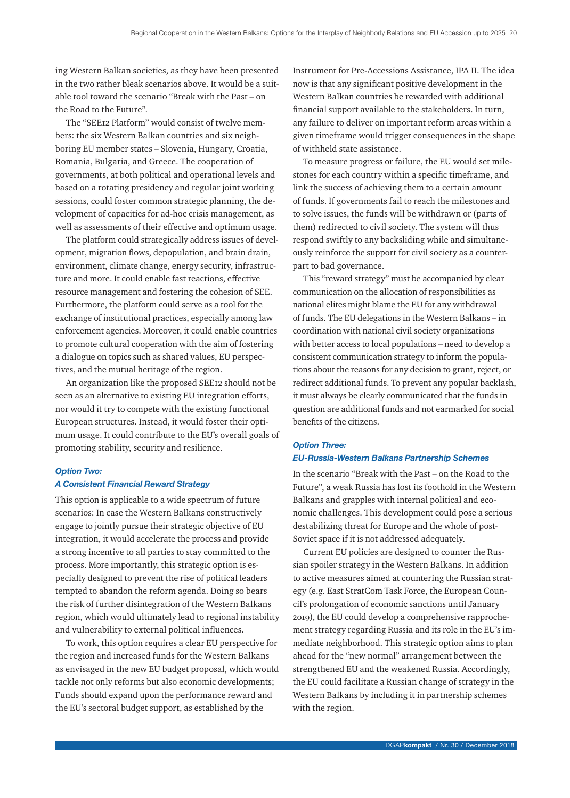ing Western Balkan societies, as they have been presented in the two rather bleak scenarios above. It would be a suitable tool toward the scenario "Break with the Past – on the Road to the Future".

The "SEE12 Platform" would consist of twelve members: the six Western Balkan countries and six neighboring EU member states – Slovenia, Hungary, Croatia, Romania, Bulgaria, and Greece. The cooperation of governments, at both political and operational levels and based on a rotating presidency and regular joint working sessions, could foster common strategic planning, the development of capacities for ad-hoc crisis management, as well as assessments of their effective and optimum usage.

The platform could strategically address issues of development, migration flows, depopulation, and brain drain, environment, climate change, energy security, infrastructure and more. It could enable fast reactions, effective resource management and fostering the cohesion of SEE. Furthermore, the platform could serve as a tool for the exchange of institutional practices, especially among law enforcement agencies. Moreover, it could enable countries to promote cultural cooperation with the aim of fostering a dialogue on topics such as shared values, EU perspectives, and the mutual heritage of the region.

An organization like the proposed SEE12 should not be seen as an alternative to existing EU integration efforts, nor would it try to compete with the existing functional European structures. Instead, it would foster their optimum usage. It could contribute to the EU's overall goals of promoting stability, security and resilience.

#### *Option Two:*

#### *A Consistent Financial Reward Strategy*

This option is applicable to a wide spectrum of future scenarios: In case the Western Balkans constructively engage to jointly pursue their strategic objective of EU integration, it would accelerate the process and provide a strong incentive to all parties to stay committed to the process. More importantly, this strategic option is especially designed to prevent the rise of political leaders tempted to abandon the reform agenda. Doing so bears the risk of further disintegration of the Western Balkans region, which would ultimately lead to regional instability and vulnerability to external political influences.

To work, this option requires a clear EU perspective for the region and increased funds for the Western Balkans as envisaged in the new EU budget proposal, which would tackle not only reforms but also economic developments; Funds should expand upon the performance reward and the EU's sectoral budget support, as established by the

Instrument for Pre-Accessions Assistance, IPA II. The idea now is that any significant positive development in the Western Balkan countries be rewarded with additional financial support available to the stakeholders. In turn, any failure to deliver on important reform areas within a given timeframe would trigger consequences in the shape of withheld state assistance.

To measure progress or failure, the EU would set milestones for each country within a specific timeframe, and link the success of achieving them to a certain amount of funds. If governments fail to reach the milestones and to solve issues, the funds will be withdrawn or (parts of them) redirected to civil society. The system will thus respond swiftly to any backsliding while and simultaneously reinforce the support for civil society as a counterpart to bad governance.

This "reward strategy" must be accompanied by clear communication on the allocation of responsibilities as national elites might blame the EU for any withdrawal of funds. The EU delegations in the Western Balkans – in coordination with national civil society organizations with better access to local populations – need to develop a consistent communication strategy to inform the populations about the reasons for any decision to grant, reject, or redirect additional funds. To prevent any popular backlash, it must always be clearly communicated that the funds in question are additional funds and not earmarked for social benefits of the citizens.

# *Option Three: EU-Russia-Western Balkans Partnership Schemes*

In the scenario "Break with the Past – on the Road to the Future", a weak Russia has lost its foothold in the Western Balkans and grapples with internal political and economic challenges. This development could pose a serious destabilizing threat for Europe and the whole of post-Soviet space if it is not addressed adequately.

Current EU policies are designed to counter the Russian spoiler strategy in the Western Balkans. In addition to active measures aimed at countering the Russian strategy (e.g. East StratCom Task Force, the European Council's prolongation of economic sanctions until January 2019), the EU could develop a comprehensive rapprochement strategy regarding Russia and its role in the EU's immediate neighborhood. This strategic option aims to plan ahead for the "new normal" arrangement between the strengthened EU and the weakened Russia. Accordingly, the EU could facilitate a Russian change of strategy in the Western Balkans by including it in partnership schemes with the region.